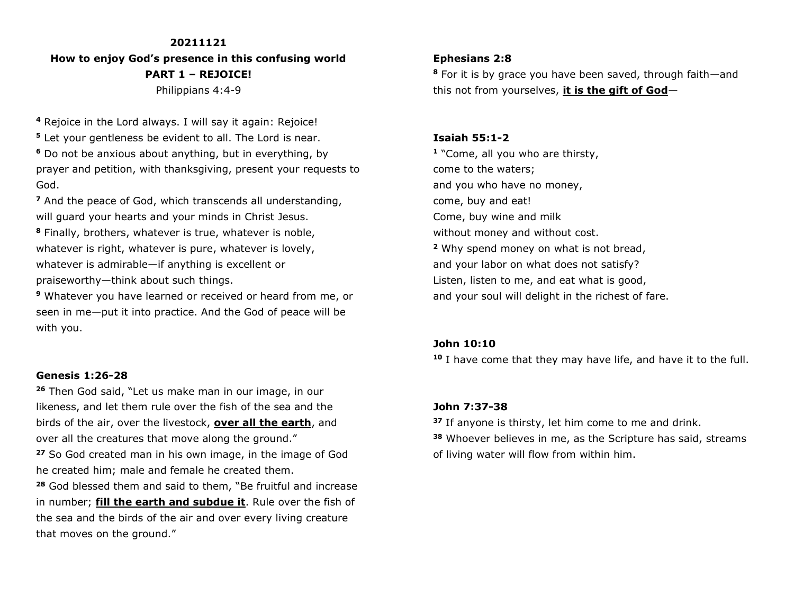#### **20211121**

**How to enjoy God's presence in this confusing world PART 1 – REJOICE!** Philippians 4:4-9

**<sup>4</sup>** Rejoice in the Lord always. I will say it again: Rejoice!

**<sup>5</sup>** Let your gentleness be evident to all. The Lord is near.

**<sup>6</sup>** Do not be anxious about anything, but in everything, by prayer and petition, with thanksgiving, present your requests to God.

**<sup>7</sup>** And the peace of God, which transcends all understanding, will guard your hearts and your minds in Christ Jesus.

**<sup>8</sup>** Finally, brothers, whatever is true, whatever is noble, whatever is right, whatever is pure, whatever is lovely, whatever is admirable—if anything is excellent or praiseworthy—think about such things.

**<sup>9</sup>** Whatever you have learned or received or heard from me, or seen in me—put it into practice. And the God of peace will be with you.

#### **Genesis 1:26-28**

**<sup>26</sup>** Then God said, "Let us make man in our image, in our likeness, and let them rule over the fish of the sea and the birds of the air, over the livestock, **over all the earth**, and over all the creatures that move along the ground."

**<sup>27</sup>** So God created man in his own image, in the image of God he created him; male and female he created them.

**<sup>28</sup>** God blessed them and said to them, "Be fruitful and increase in number; **fill the earth and subdue it**. Rule over the fish of the sea and the birds of the air and over every living creature that moves on the ground."

## **Ephesians 2:8**

**<sup>8</sup>** For it is by grace you have been saved, through faith—and this not from yourselves, **it is the gift of God**—

# **Isaiah 55:1-2**

**1** "Come, all you who are thirsty, come to the waters; and you who have no money, come, buy and eat! Come, buy wine and milk without money and without cost. **<sup>2</sup>** Why spend money on what is not bread, and your labor on what does not satisfy? Listen, listen to me, and eat what is good, and your soul will delight in the richest of fare.

## **John 10:10**

**<sup>10</sup>** I have come that they may have life, and have it to the full.

## **John 7:37-38**

**37** If anyone is thirsty, let him come to me and drink.

**<sup>38</sup>** Whoever believes in me, as the Scripture has said, streams of living water will flow from within him.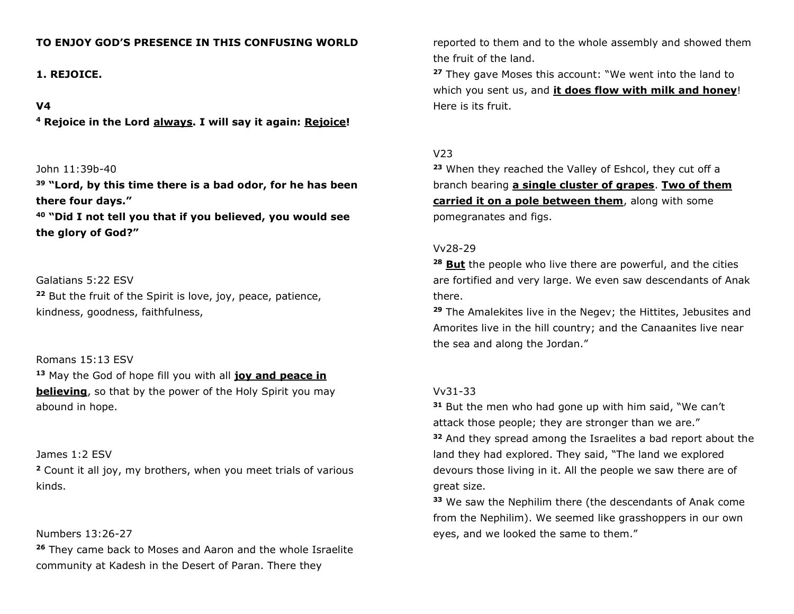# **TO ENJOY GOD'S PRESENCE IN THIS CONFUSING WORLD**

# **1. REJOICE.**

# **V4**

**<sup>4</sup> Rejoice in the Lord always. I will say it again: Rejoice!**

# John 11:39b-40

**<sup>39</sup> "Lord, by this time there is a bad odor, for he has been there four days."**

**<sup>40</sup> "Did I not tell you that if you believed, you would see the glory of God?"**

Galatians 5:22 ESV **<sup>22</sup>** But the fruit of the Spirit is love, joy, peace, patience, kindness, goodness, faithfulness,

# Romans 15:13 ESV

**<sup>13</sup>** May the God of hope fill you with all **joy and peace in believing**, so that by the power of the Holy Spirit you may abound in hope.

#### James 1:2 ESV

**<sup>2</sup>** Count it all joy, my brothers, when you meet trials of various kinds.

# Numbers 13:26-27

**<sup>26</sup>** They came back to Moses and Aaron and the whole Israelite community at Kadesh in the Desert of Paran. There they

reported to them and to the whole assembly and showed them the fruit of the land.

**<sup>27</sup>** They gave Moses this account: "We went into the land to which you sent us, and **it does flow with milk and honey**! Here is its fruit.

# V23

**<sup>23</sup>** When they reached the Valley of Eshcol, they cut off a branch bearing **a single cluster of grapes**. **Two of them carried it on a pole between them**, along with some pomegranates and figs.

#### Vv28-29

**<sup>28</sup> But** the people who live there are powerful, and the cities are fortified and very large. We even saw descendants of Anak there.

**<sup>29</sup>** The Amalekites live in the Negev; the Hittites, Jebusites and Amorites live in the hill country; and the Canaanites live near the sea and along the Jordan."

## Vv31-33

**<sup>31</sup>** But the men who had gone up with him said, "We can't attack those people; they are stronger than we are." **<sup>32</sup>** And they spread among the Israelites a bad report about the land they had explored. They said, "The land we explored devours those living in it. All the people we saw there are of great size.

**<sup>33</sup>** We saw the Nephilim there (the descendants of Anak come from the Nephilim). We seemed like grasshoppers in our own eyes, and we looked the same to them."